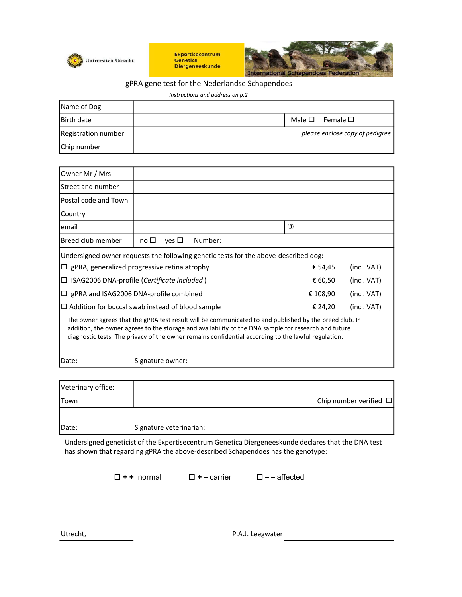

Expertisecentrum Genetica **Diergeneeskunde** 



## gPRA gene test for the Nederlandse Schapendoes

Instructions and address on p.2

| Name of Dog         |  |                                 |
|---------------------|--|---------------------------------|
| <b>Birth date</b>   |  | Male $\square$ Female $\square$ |
| Registration number |  | please enclose copy of pedigree |
| Chip number         |  |                                 |

| Registration number                                 | please enclose copy of pedigree                                                                                                                                                                                                                                                                                       |                      |             |  |
|-----------------------------------------------------|-----------------------------------------------------------------------------------------------------------------------------------------------------------------------------------------------------------------------------------------------------------------------------------------------------------------------|----------------------|-------------|--|
| Chip number                                         |                                                                                                                                                                                                                                                                                                                       |                      |             |  |
|                                                     |                                                                                                                                                                                                                                                                                                                       |                      |             |  |
| Owner Mr / Mrs                                      |                                                                                                                                                                                                                                                                                                                       |                      |             |  |
| Street and number                                   |                                                                                                                                                                                                                                                                                                                       |                      |             |  |
| Postal code and Town                                |                                                                                                                                                                                                                                                                                                                       |                      |             |  |
| Country                                             |                                                                                                                                                                                                                                                                                                                       |                      |             |  |
| email                                               |                                                                                                                                                                                                                                                                                                                       | $\mathbb O$          |             |  |
| Breed club member                                   | no $\square$ yes $\square$<br>Number:                                                                                                                                                                                                                                                                                 |                      |             |  |
|                                                     | Undersigned owner requests the following genetic tests for the above-described dog:                                                                                                                                                                                                                                   |                      |             |  |
| $\Box$ gPRA, generalized progressive retina atrophy |                                                                                                                                                                                                                                                                                                                       | € 54,45              | (incl. VAT) |  |
| □ ISAG2006 DNA-profile (Certificate included)       |                                                                                                                                                                                                                                                                                                                       | € 60,50              | (incl. VAT) |  |
|                                                     | $\Box$ gPRA and ISAG2006 DNA-profile combined                                                                                                                                                                                                                                                                         | € 108,90             | (incl. VAT) |  |
|                                                     | $\Box$ Addition for buccal swab instead of blood sample                                                                                                                                                                                                                                                               | € 24,20              | (incl. VAT) |  |
|                                                     | The owner agrees that the gPRA test result will be communicated to and published by the breed club. In<br>addition, the owner agrees to the storage and availability of the DNA sample for research and future<br>diagnostic tests. The privacy of the owner remains confidential according to the lawful regulation. |                      |             |  |
| Date:                                               | Signature owner:                                                                                                                                                                                                                                                                                                      |                      |             |  |
| Veterinary office:                                  |                                                                                                                                                                                                                                                                                                                       |                      |             |  |
| Town                                                | Chip number verified $\Box$                                                                                                                                                                                                                                                                                           |                      |             |  |
| Date:                                               | Signature veterinarian:                                                                                                                                                                                                                                                                                               |                      |             |  |
|                                                     | Undersigned geneticist of the Expertisecentrum Genetica Diergeneeskunde declares that the DNA test<br>has shown that regarding gPRA the above-described Schapendoes has the genotype:                                                                                                                                 |                      |             |  |
|                                                     | $\square$ + + normal<br>$\square$ + – carrier                                                                                                                                                                                                                                                                         | $\square$ - affected |             |  |
|                                                     |                                                                                                                                                                                                                                                                                                                       |                      |             |  |

| Veterinary office: |                             |
|--------------------|-----------------------------|
| <b>Town</b>        | Chip number verified $\Box$ |
|                    |                             |
| Date:              | Signature veterinarian:     |